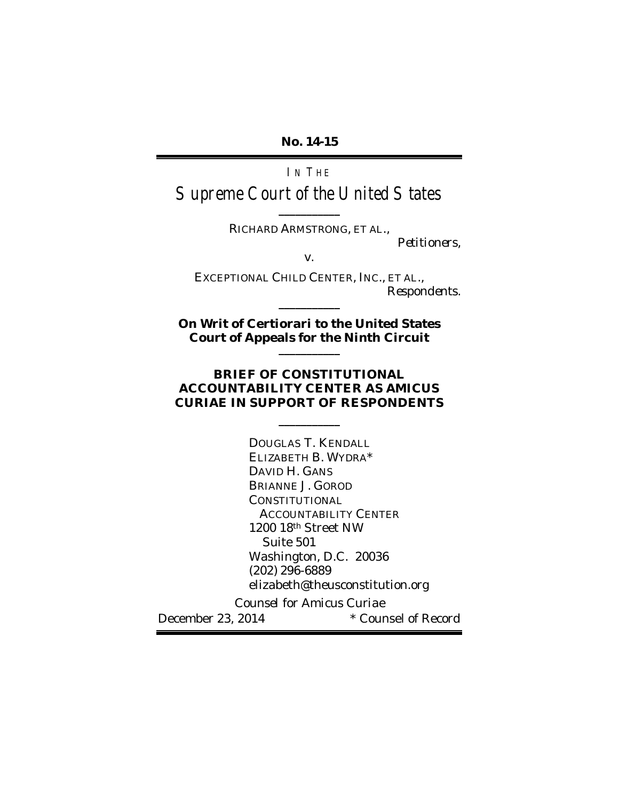**No. 14-15**

IN THE Supreme Court of the United States

> **\_\_\_\_\_\_\_\_\_\_\_** RICHARD ARMSTRONG, ET AL.,

> > *Petitioners*,

v.

EXCEPTIONAL CHILD CENTER, INC., ET AL., *Respondents*. **\_\_\_\_\_\_\_\_\_\_\_**

**On Writ of Certiorari to the United States Court of Appeals for the Ninth Circuit \_\_\_\_\_\_\_\_\_\_\_**

#### **BRIEF OF CONSTITUTIONAL ACCOUNTABILITY CENTER AS** *AMICUS CURIAE* **IN SUPPORT OF RESPONDENTS**

**\_\_\_\_\_\_\_\_\_\_\_**

DOUGLAS T. KENDALL ELIZABETH B. WYDRA\* DAVID H. GANS BRIANNE J. GOROD **CONSTITUTIONAL**  ACCOUNTABILITY CENTER 1200 18th Street NW Suite 501 Washington, D.C. 20036 (202) 296-6889 elizabeth@theusconstitution.org *Counsel for Amicus Curiae* December 23, 2014 **\*** Counsel of Record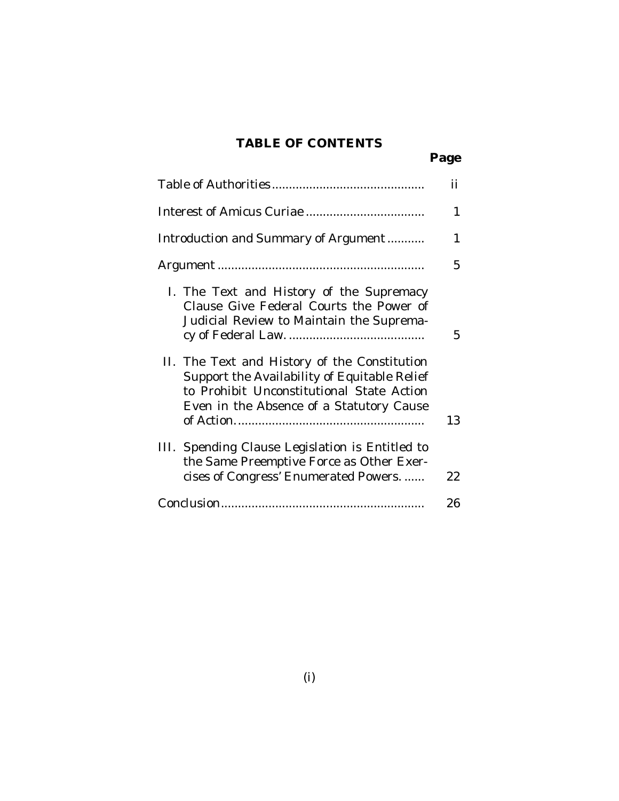## **TABLE OF CONTENTS**

|                                                                                                                                                                                       | Page |
|---------------------------------------------------------------------------------------------------------------------------------------------------------------------------------------|------|
|                                                                                                                                                                                       | ij   |
|                                                                                                                                                                                       | 1    |
| Introduction and Summary of Argument                                                                                                                                                  | 1    |
|                                                                                                                                                                                       | 5    |
| I. The Text and History of the Supremacy<br>Clause Give Federal Courts the Power of<br>Judicial Review to Maintain the Suprema-                                                       | 5    |
| II. The Text and History of the Constitution<br>Support the Availability of Equitable Relief<br>to Prohibit Unconstitutional State Action<br>Even in the Absence of a Statutory Cause | 13   |
| III. Spending Clause Legislation is Entitled to<br>the Same Preemptive Force as Other Exer-<br>cises of Congress' Enumerated Powers.                                                  | 22   |
|                                                                                                                                                                                       | 26   |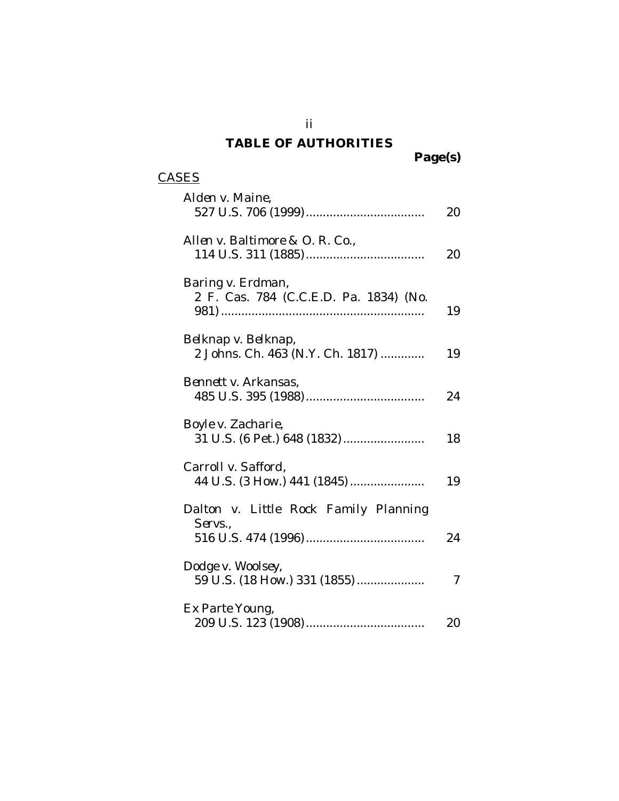## **TABLE OF AUTHORITIES**

**Page(s)**

## **CASES**

| Alden v. Maine,                                             | 20 |
|-------------------------------------------------------------|----|
| Allen v. Baltimore & O. R. Co.,                             | 20 |
| Baring v. Erdman,<br>2 F. Cas. 784 (C.C.E.D. Pa. 1834) (No. | 19 |
| Belknap v. Belknap,<br>2 Johns. Ch. 463 (N.Y. Ch. 1817)     | 19 |
| Bennett v. Arkansas,                                        | 24 |
| Boyle v. Zacharie,<br>31 U.S. (6 Pet.) 648 (1832)           | 18 |
| Carroll v. Safford,<br>44 U.S. (3 How.) 441 (1845)          | 19 |
| Dalton v. Little Rock Family Planning<br>Servs.,            | 24 |
| Dodge v. Woolsey,<br>59 U.S. (18 How.) 331 (1855)           | 7  |
| Ex Parte Young,                                             | 20 |

ii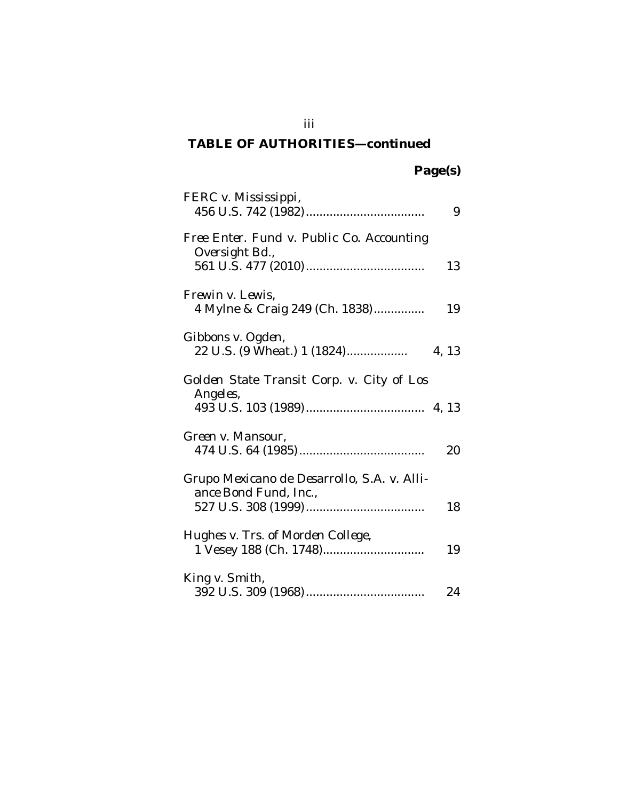| FERC v. Mississippi,                                                 | 9     |
|----------------------------------------------------------------------|-------|
| Free Enter. Fund v. Public Co. Accounting<br>Oversight Bd.,          | 13    |
| Frewin v. Lewis,<br>4 Mylne & Craig 249 (Ch. 1838)                   | 19    |
| Gibbons v. Ogden,<br>22 U.S. (9 Wheat.) 1 (1824)                     | 4, 13 |
| Golden State Transit Corp. v. City of Los<br>Angeles,                |       |
| Green v. Mansour,                                                    | 20    |
| Grupo Mexicano de Desarrollo, S.A. v. Alli-<br>ance Bond Fund, Inc., | 18    |
| Hughes v. Trs. of Morden College,<br>1 Vesey 188 (Ch. 1748)          | 19    |
| King v. Smith,                                                       | 24    |

iii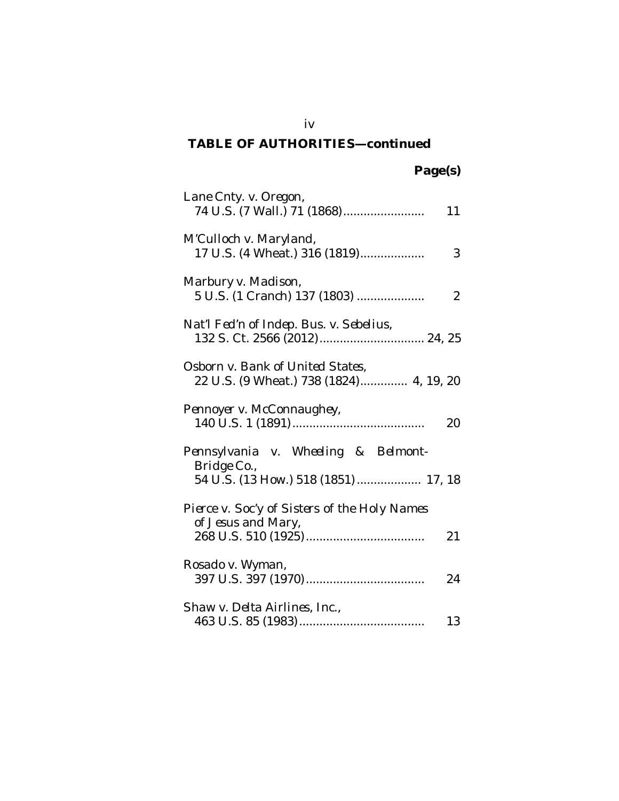| Lane Cnty. v. Oregon,<br>74 U.S. (7 Wall.) 71 (1868)                                       | 11             |
|--------------------------------------------------------------------------------------------|----------------|
| M'Culloch v. Maryland,<br>17 U.S. (4 Wheat.) 316 (1819)                                    | 3              |
| Marbury v. Madison,<br>5 U.S. (1 Cranch) 137 (1803)                                        | $\overline{2}$ |
| Nat'l Fed'n of Indep. Bus. v. Sebelius,                                                    |                |
| Osborn v. Bank of United States,<br>22 U.S. (9 Wheat.) 738 (1824) 4, 19, 20                |                |
| Pennoyer v. McConnaughey,                                                                  | 20             |
| Pennsylvania v. Wheeling & Belmont-<br>Bridge Co.,<br>54 U.S. (13 How.) 518 (1851)  17, 18 |                |
| Pierce v. Soc'y of Sisters of the Holy Names<br>of Jesus and Mary,                         | 21             |
| Rosado v. Wyman,                                                                           | 24             |
| Shaw v. Delta Airlines, Inc.,                                                              | 13             |

iv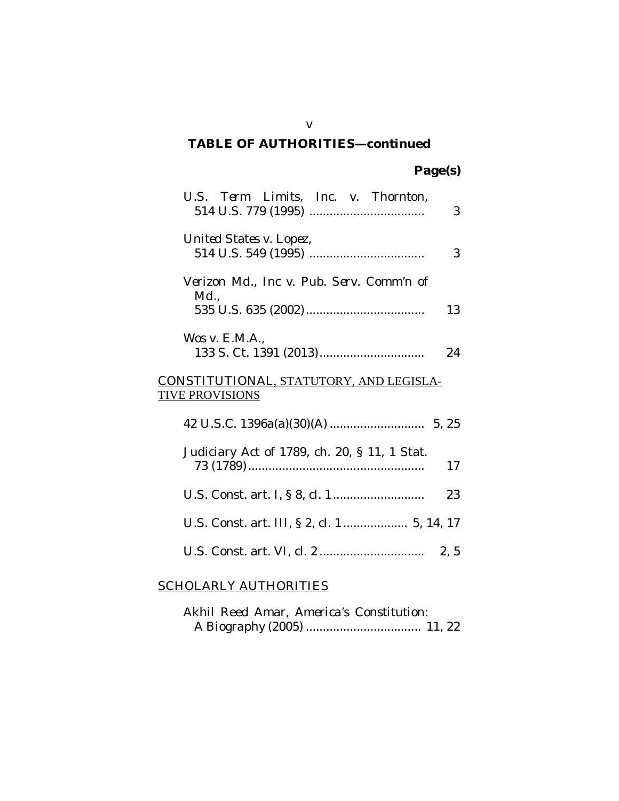| U.S. Term Limits, Inc. v. Thornton,                               | 3  |
|-------------------------------------------------------------------|----|
| United States v. Lopez,                                           | 3  |
| Verizon Md., Inc v. Pub. Serv. Comm'n of<br>$Md_{\cdot}$          |    |
| Wos v. E.M.A.,                                                    | 13 |
| 133 S. Ct. 1391 (2013)                                            | 24 |
| CONSTITUTIONAL, STATUTORY, AND LEGISLA-<br><b>TIVE PROVISIONS</b> |    |
|                                                                   |    |
| Judiciary Act of 1789, ch. 20, § 11, 1 Stat.                      | 17 |
|                                                                   | 23 |
| U.S. Const. art. III, § 2, cl. 1 5, 14, 17                        |    |
|                                                                   |    |

## SCHOLARLY AUTHORITIES

|  |  | Akhil Reed Amar, America's Constitution: |  |
|--|--|------------------------------------------|--|
|  |  |                                          |  |

v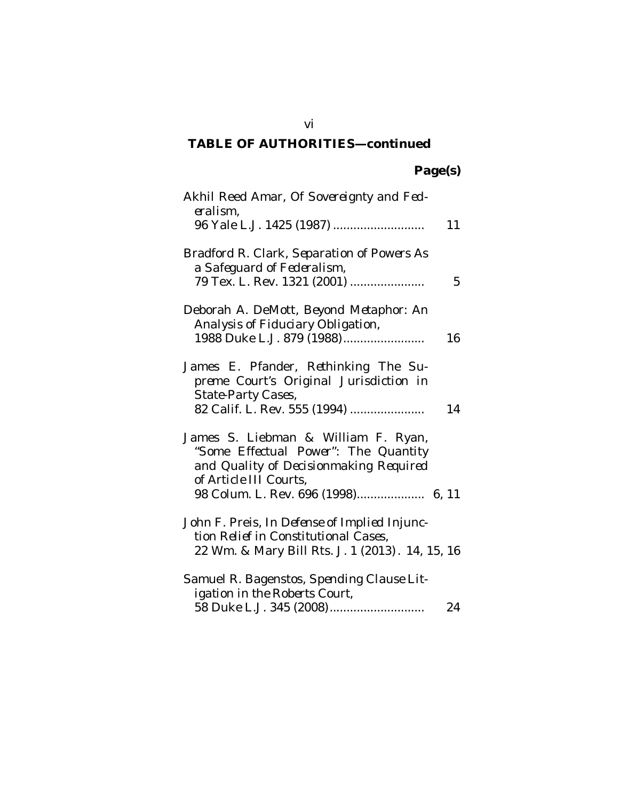| Akhil Reed Amar, Of Sovereignty and Fed-<br>eralism,                                                                                            | 11 |
|-------------------------------------------------------------------------------------------------------------------------------------------------|----|
| 96 Yale L.J. 1425 (1987)                                                                                                                        |    |
| Bradford R. Clark, Separation of Powers As<br>a Safeguard of Federalism,                                                                        |    |
| 79 Tex. L. Rev. 1321 (2001)                                                                                                                     | 5  |
| Deborah A. DeMott, Beyond Metaphor: An<br>Analysis of Fiduciary Obligation,                                                                     |    |
| 1988 Duke L.J. 879 (1988)                                                                                                                       | 16 |
| James E. Pfander, Rethinking The Su-<br>preme Court's Original Jurisdiction in<br>State-Party Cases,                                            |    |
| 82 Calif. L. Rev. 555 (1994)                                                                                                                    | 14 |
| James S. Liebman & William F. Ryan,<br>"Some Effectual Power": The Quantity<br>and Quality of Decisionmaking Required<br>of Article III Courts, |    |
| 98 Colum. L. Rev. 696 (1998) 6, 11                                                                                                              |    |
| John F. Preis, In Defense of Implied Injunc-<br>tion Relief in Constitutional Cases,                                                            |    |
| 22 Wm. & Mary Bill Rts. J. 1 (2013). 14, 15, 16                                                                                                 |    |
| Samuel R. Bagenstos, Spending Clause Lit-<br>igation in the Roberts Court,                                                                      |    |
| 58 Duke L.J. 345 (2008)                                                                                                                         | 24 |

vi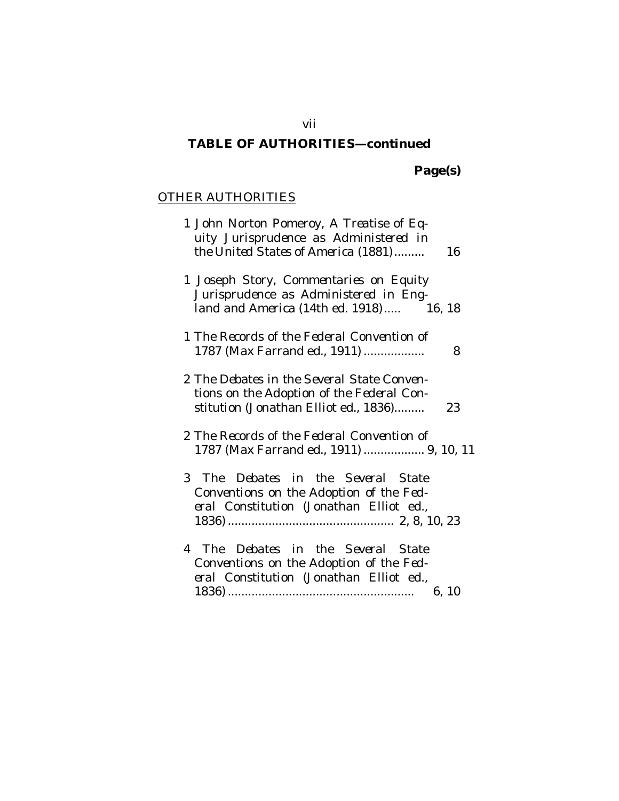**Page(s)**

## OTHER AUTHORITIES

| 1 John Norton Pomeroy, A Treatise of Eq-<br>uity Jurisprudence as Administered in<br>the United States of America (1881)<br>16         |
|----------------------------------------------------------------------------------------------------------------------------------------|
| 1 Joseph Story, Commentaries on Equity<br>Jurisprudence as Administered in Eng-<br>land and America (14th ed. 1918) 16, 18             |
| 1 The Records of the Federal Convention of<br>1787 (Max Farrand ed., 1911)<br>8                                                        |
| 2 The Debates in the Several State Conven-<br>tions on the Adoption of the Federal Con-<br>stitution (Jonathan Elliot ed., 1836)<br>23 |
| 2 The Records of the Federal Convention of<br>1787 (Max Farrand ed., 1911)  9, 10, 11                                                  |
| 3 The Debates in the Several State<br>Conventions on the Adoption of the Fed-<br>eral Constitution (Jonathan Elliot ed.,               |
| 4 The Debates in the Several State<br>Conventions on the Adoption of the Fed-<br>eral Constitution (Jonathan Elliot ed.,<br>6, 10      |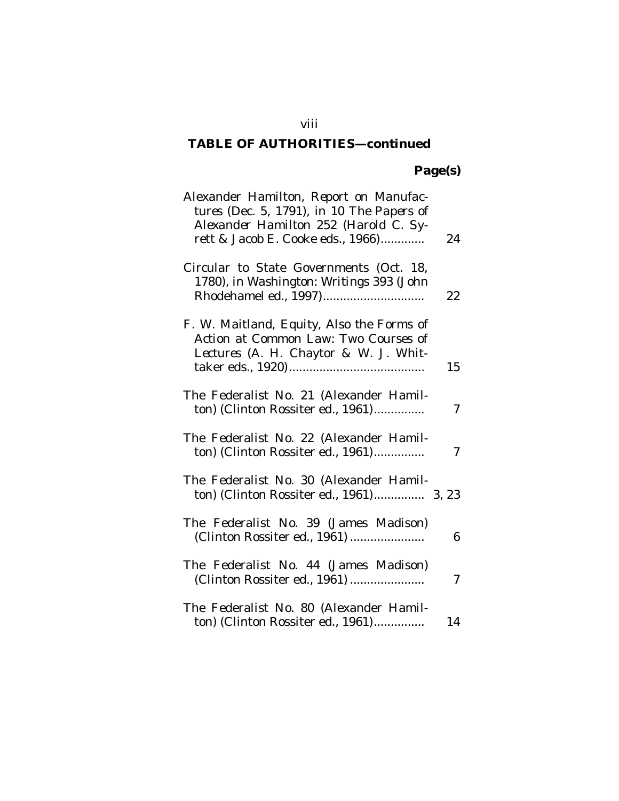## **Page(s)**

| Alexander Hamilton, Report on Manufac-<br>tures (Dec. 5, 1791), in 10 The Papers of<br>Alexander Hamilton 252 (Harold C. Sy-<br>rett & Jacob E. Cooke eds., 1966) | 24 |
|-------------------------------------------------------------------------------------------------------------------------------------------------------------------|----|
| Circular to State Governments (Oct. 18,<br>1780), in Washington: Writings 393 (John<br>Rhodehamel ed., 1997)                                                      | 22 |
| F. W. Maitland, <i>Equity</i> , <i>Also the Forms of</i><br>Action at Common Law: Two Courses of<br>Lectures (A. H. Chaytor & W. J. Whit-                         | 15 |
| The Federalist No. 21 (Alexander Hamil-<br>ton) (Clinton Rossiter ed., 1961)                                                                                      | 7  |
| The Federalist No. 22 (Alexander Hamil-<br>ton) (Clinton Rossiter ed., 1961)                                                                                      | 7  |
| The Federalist No. 30 (Alexander Hamil-<br>ton) (Clinton Rossiter ed., 1961) 3, 23                                                                                |    |
| The Federalist No. 39 (James Madison)<br>(Clinton Rossiter ed., 1961)                                                                                             | 6  |
| The Federalist No. 44 (James Madison)<br>(Clinton Rossiter ed., 1961)                                                                                             | 7  |
| The Federalist No. 80 (Alexander Hamil-<br>ton) (Clinton Rossiter ed., 1961)                                                                                      | 14 |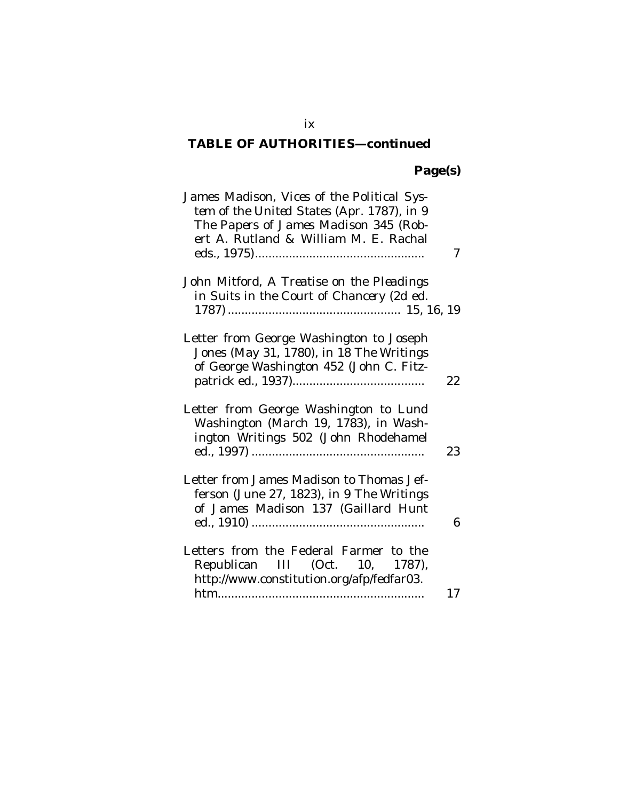## **Page(s)**

| James Madison, Vices of the Political Sys-<br>tem of the United States (Apr. 1787), in 9<br>The Papers of James Madison 345 (Rob-<br>ert A. Rutland & William M. E. Rachal | 7  |
|----------------------------------------------------------------------------------------------------------------------------------------------------------------------------|----|
| John Mitford, A Treatise on the Pleadings<br>in Suits in the Court of Chancery (2d ed.                                                                                     |    |
| Letter from George Washington to Joseph<br>Jones (May 31, 1780), in 18 The Writings<br>of George Washington 452 (John C. Fitz-                                             | 22 |
| Letter from George Washington to Lund<br>Washington (March 19, 1783), in Wash-<br>ington Writings 502 (John Rhodehamel                                                     | 23 |
| Letter from James Madison to Thomas Jef-<br>ferson (June 27, 1823), in 9 The Writings<br>of James Madison 137 (Gaillard Hunt                                               | 6  |
| Letters from the Federal Farmer to the<br>Republican III (Oct. 10, 1787),<br>http://www.constitution.org/afp/fedfar03.                                                     | 17 |

ix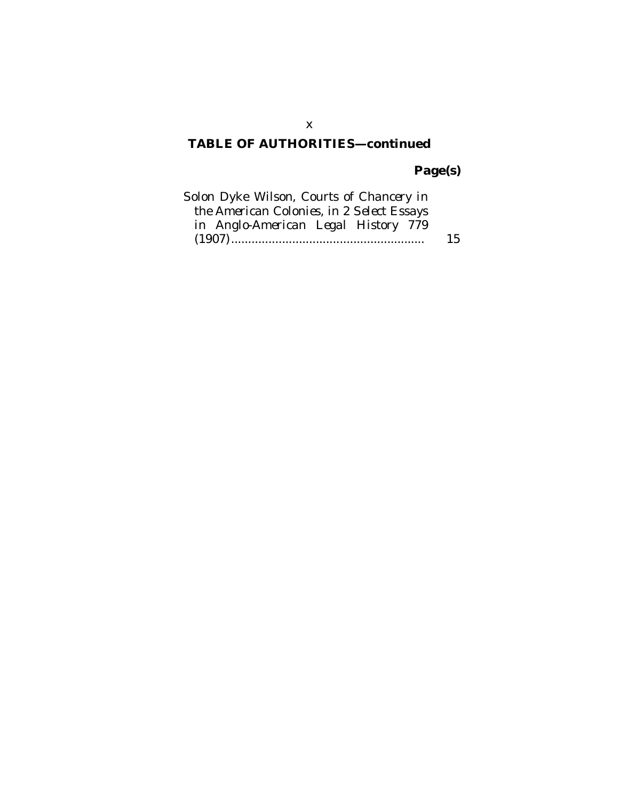# **Page(s)**

| Solon Dyke Wilson, Courts of Chancery in  |    |
|-------------------------------------------|----|
| the American Colonies, in 2 Select Essays |    |
| in Anglo-American Legal History 779       |    |
|                                           | 15 |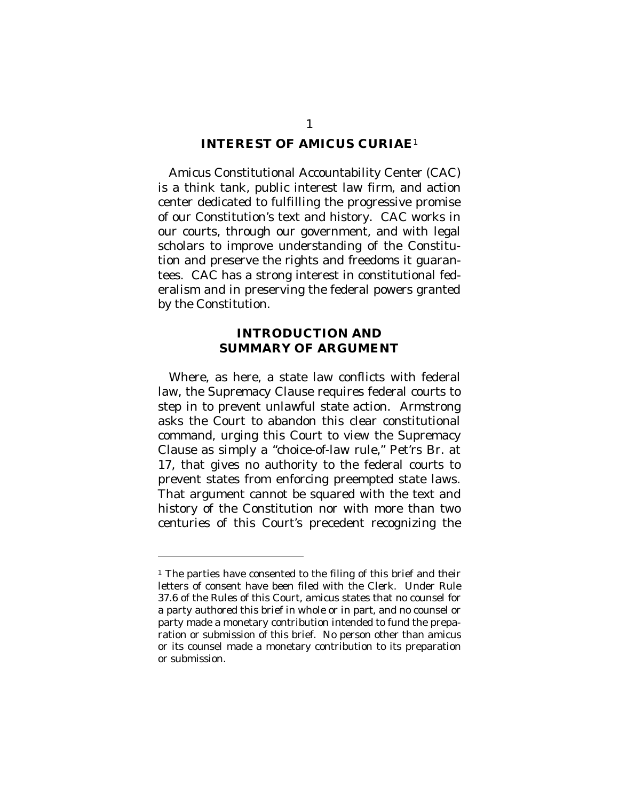#### **INTEREST OF AMICUS CURIAE**<sup>1</sup>

Amicus Constitutional Accountability Center (CAC) is a think tank, public interest law firm, and action center dedicated to fulfilling the progressive promise of our Constitution's text and history. CAC works in our courts, through our government, and with legal scholars to improve understanding of the Constitution and preserve the rights and freedoms it guarantees. CAC has a strong interest in constitutional federalism and in preserving the federal powers granted by the Constitution.

#### **INTRODUCTION AND SUMMARY OF ARGUMENT**

Where, as here, a state law conflicts with federal law, the Supremacy Clause requires federal courts to step in to prevent unlawful state action. Armstrong asks the Court to abandon this clear constitutional command, urging this Court to view the Supremacy Clause as simply a "choice-of-law rule," Pet'rs Br. at 17, that gives no authority to the federal courts to prevent states from enforcing preempted state laws. That argument cannot be squared with the text and history of the Constitution nor with more than two centuries of this Court's precedent recognizing the

 $\overline{a}$ 

<sup>&</sup>lt;sup>1</sup> The parties have consented to the filing of this brief and their letters of consent have been filed with the Clerk. Under Rule 37.6 of the Rules of this Court, *amicus* states that no counsel for a party authored this brief in whole or in part, and no counsel or party made a monetary contribution intended to fund the preparation or submission of this brief. No person other than *amicus* or its counsel made a monetary contribution to its preparation or submission.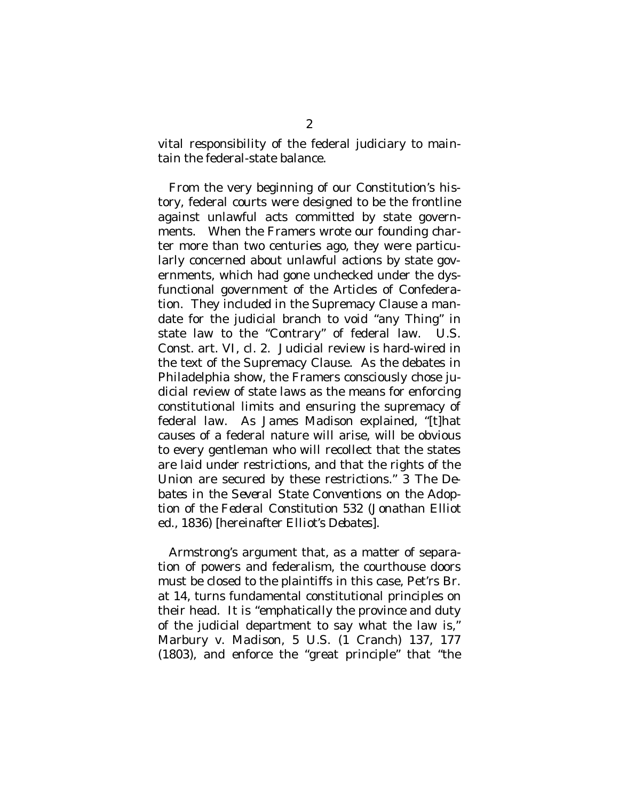vital responsibility of the federal judiciary to maintain the federal-state balance.

From the very beginning of our Constitution's history, federal courts were designed to be the frontline against unlawful acts committed by state governments. When the Framers wrote our founding charter more than two centuries ago, they were particularly concerned about unlawful actions by state governments, which had gone unchecked under the dysfunctional government of the Articles of Confederation. They included in the Supremacy Clause a mandate for the judicial branch to void "any Thing" in state law to the "Contrary" of federal law. U.S. Const. art. VI, cl. 2. Judicial review is hard-wired in the text of the Supremacy Clause. As the debates in Philadelphia show, the Framers consciously chose judicial review of state laws as the means for enforcing constitutional limits and ensuring the supremacy of federal law. As James Madison explained, "[t]hat causes of a federal nature will arise, will be obvious to every gentleman who will recollect that the states are laid under restrictions, and that the rights of the Union are secured by these restrictions." 3 *The Debates in the Several State Conventions on the Adoption of the Federal Constitution* 532 (Jonathan Elliot ed., 1836) [hereinafter *Elliot's Debates*].

Armstrong's argument that, as a matter of separation of powers and federalism, the courthouse doors must be closed to the plaintiffs in this case, Pet'rs Br. at 14, turns fundamental constitutional principles on their head. It is "emphatically the province and duty of the judicial department to say what the law is," *Marbury v. Madison*, 5 U.S. (1 Cranch) 137, 177 (1803), and enforce the "great principle" that "the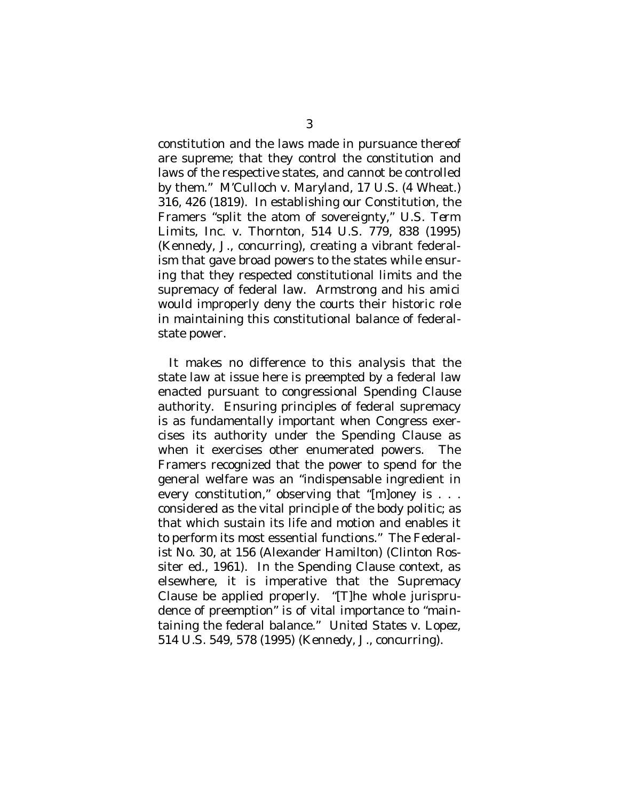constitution and the laws made in pursuance thereof are supreme; that they control the constitution and laws of the respective states, and cannot be controlled by them." *M'Culloch v. Maryland*, 17 U.S. (4 Wheat.) 316, 426 (1819). In establishing our Constitution, the Framers "split the atom of sovereignty," *U.S. Term Limits, Inc. v. Thornton*, 514 U.S. 779, 838 (1995) (Kennedy, J., concurring), creating a vibrant federalism that gave broad powers to the states while ensuring that they respected constitutional limits and the supremacy of federal law. Armstrong and his *amici*  would improperly deny the courts their historic role in maintaining this constitutional balance of federalstate power.

It makes no difference to this analysis that the state law at issue here is preempted by a federal law enacted pursuant to congressional Spending Clause authority. Ensuring principles of federal supremacy is as fundamentally important when Congress exercises its authority under the Spending Clause as when it exercises other enumerated powers. The Framers recognized that the power to spend for the general welfare was an "indispensable ingredient in every constitution," observing that "[m]oney is . . . considered as the vital principle of the body politic; as that which sustain its life and motion and enables it to perform its most essential functions." The Federalist No. 30, at 156 (Alexander Hamilton) (Clinton Rossiter ed., 1961). In the Spending Clause context, as elsewhere, it is imperative that the Supremacy Clause be applied properly. "[T]he whole jurisprudence of preemption" is of vital importance to "maintaining the federal balance." *United States v. Lopez*, 514 U.S. 549, 578 (1995) (Kennedy, J., concurring).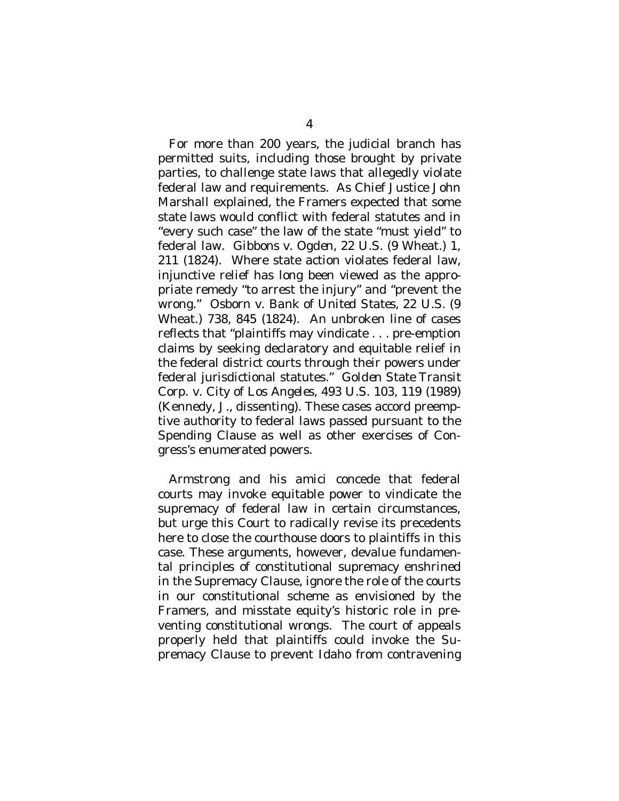For more than 200 years, the judicial branch has permitted suits, including those brought by private parties, to challenge state laws that allegedly violate federal law and requirements. As Chief Justice John Marshall explained, the Framers expected that some state laws would conflict with federal statutes and in "every such case" the law of the state "must yield" to federal law. *Gibbons v. Ogden*, 22 U.S. (9 Wheat.) 1, 211 (1824). Where state action violates federal law, injunctive relief has long been viewed as the appropriate remedy "to arrest the injury" and "prevent the wrong." *Osborn v. Bank of United States*, 22 U.S. (9 Wheat.) 738, 845 (1824). An unbroken line of cases reflects that "plaintiffs may vindicate . . . pre-emption claims by seeking declaratory and equitable relief in the federal district courts through their powers under federal jurisdictional statutes." *Golden State Transit Corp. v. City of Los Angeles*, 493 U.S. 103, 119 (1989) (Kennedy, J., dissenting). These cases accord preemptive authority to federal laws passed pursuant to the Spending Clause as well as other exercises of Congress's enumerated powers.

Armstrong and his *amici* concede that federal courts may invoke equitable power to vindicate the supremacy of federal law in certain circumstances, but urge this Court to radically revise its precedents here to close the courthouse doors to plaintiffs in this case. These arguments, however, devalue fundamental principles of constitutional supremacy enshrined in the Supremacy Clause, ignore the role of the courts in our constitutional scheme as envisioned by the Framers, and misstate equity's historic role in preventing constitutional wrongs. The court of appeals properly held that plaintiffs could invoke the Supremacy Clause to prevent Idaho from contravening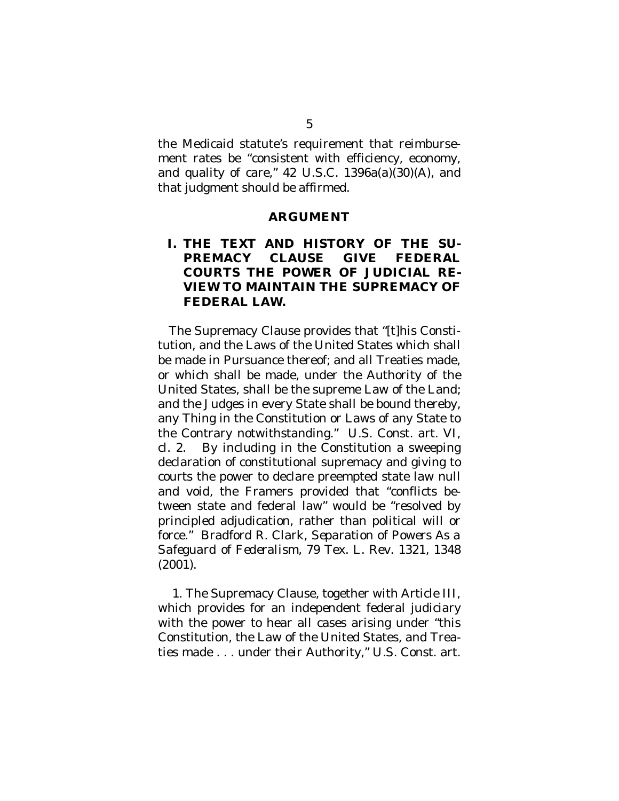the Medicaid statute's requirement that reimbursement rates be "consistent with efficiency, economy, and quality of care," 42 U.S.C. 1396a(a)(30)(A), and that judgment should be affirmed.

#### **ARGUMENT**

#### **I. THE TEXT AND HISTORY OF THE SU-PREMACY CLAUSE GIVE FEDERAL COURTS THE POWER OF JUDICIAL RE-VIEW TO MAINTAIN THE SUPREMACY OF FEDERAL LAW.**

The Supremacy Clause provides that "[t]his Constitution, and the Laws of the United States which shall be made in Pursuance thereof; and all Treaties made, or which shall be made, under the Authority of the United States, shall be the supreme Law of the Land; and the Judges in every State shall be bound thereby, any Thing in the Constitution or Laws of any State to the Contrary notwithstanding." U.S. Const. art. VI, cl. 2. By including in the Constitution a sweeping declaration of constitutional supremacy and giving to courts the power to declare preempted state law null and void, the Framers provided that "conflicts between state and federal law" would be "resolved by principled adjudication, rather than political will or force." Bradford R. Clark, *Separation of Powers As a Safeguard of Federalism*, 79 Tex. L. Rev. 1321, 1348 (2001).

1. The Supremacy Clause, together with Article III, which provides for an independent federal judiciary with the power to hear all cases arising under "this Constitution, the Law of the United States, and Treaties made . . . under their Authority," U.S. Const. art.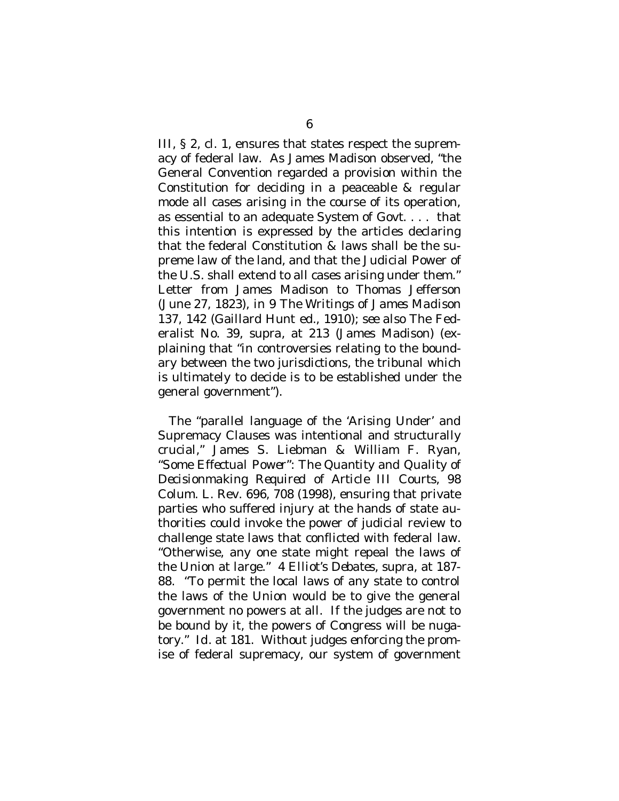III, § 2, cl. 1, ensures that states respect the supremacy of federal law. As James Madison observed, "the General Convention regarded a provision within the Constitution for deciding in a peaceable & regular mode all cases arising in the course of its operation, as essential to an adequate System of Govt. . . . that this intention is expressed by the articles declaring that the federal Constitution & laws shall be the supreme law of the land, and that the Judicial Power of the U.S. shall extend to all cases arising under them." Letter from James Madison to Thomas Jefferson (June 27, 1823), *in* 9 *The Writings of James Madison* 137, 142 (Gaillard Hunt ed., 1910); *see also* The Federalist No. 39, *supra*, at 213 (James Madison) (explaining that "in controversies relating to the boundary between the two jurisdictions, the tribunal which is ultimately to decide is to be established under the general government").

The "parallel language of the 'Arising Under' and Supremacy Clauses was intentional and structurally crucial," James S. Liebman & William F. Ryan, *"Some Effectual Power": The Quantity and Quality of Decisionmaking Required of Article III Courts,* 98 Colum. L. Rev. 696, 708 (1998), ensuring that private parties who suffered injury at the hands of state authorities could invoke the power of judicial review to challenge state laws that conflicted with federal law. "Otherwise, any one state might repeal the laws of the Union at large." 4 *Elliot's Debates*, *supra*, at 187- 88. "To permit the local laws of any state to control the laws of the Union would be to give the general government no powers at all. If the judges are not to be bound by it, the powers of Congress will be nugatory." *Id.* at 181. Without judges enforcing the promise of federal supremacy, our system of government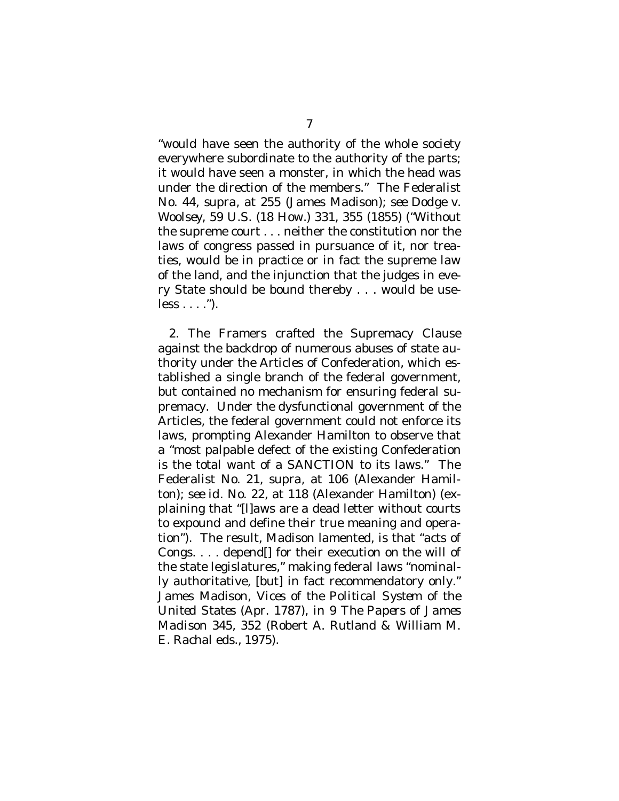"would have seen the authority of the whole society everywhere subordinate to the authority of the parts; it would have seen a monster, in which the head was under the direction of the members." The Federalist No. 44, *supra*, at 255 (James Madison); *see Dodge v. Woolsey*, 59 U.S. (18 How.) 331, 355 (1855) ("Without the supreme court . . . neither the constitution nor the laws of congress passed in pursuance of it, nor treaties, would be in practice or in fact the supreme law of the land, and the injunction that the judges in every State should be bound thereby . . . would be use $less \dots$  .").

2. The Framers crafted the Supremacy Clause against the backdrop of numerous abuses of state authority under the Articles of Confederation, which established a single branch of the federal government, but contained no mechanism for ensuring federal supremacy. Under the dysfunctional government of the Articles, the federal government could not enforce its laws, prompting Alexander Hamilton to observe that a "most palpable defect of the existing Confederation is the total want of a SANCTION to its laws." The Federalist No. 21, *supra*, at 106 (Alexander Hamilton); *see id.* No. 22, at 118 (Alexander Hamilton) (explaining that "[l]aws are a dead letter without courts to expound and define their true meaning and operation"). The result, Madison lamented, is that "acts of Congs. . . . depend[] for their execution on the will of the state legislatures," making federal laws "nominally authoritative, [but] in fact recommendatory only." James Madison, *Vices of the Political System of the United States* (Apr. 1787), *in* 9 *The Papers of James Madison* 345, 352 (Robert A. Rutland & William M. E. Rachal eds., 1975).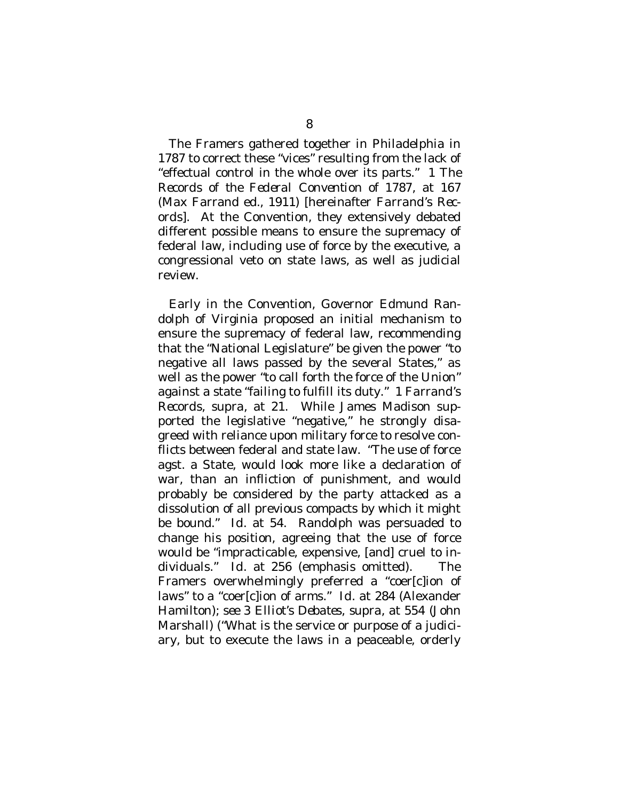The Framers gathered together in Philadelphia in 1787 to correct these "vices" resulting from the lack of "effectual control in the whole over its parts." 1 *The Records of the Federal Convention of 1787*, at 167 (Max Farrand ed., 1911) [hereinafter *Farrand's Records*]. At the Convention, they extensively debated different possible means to ensure the supremacy of federal law, including use of force by the executive, a congressional veto on state laws, as well as judicial review.

Early in the Convention, Governor Edmund Randolph of Virginia proposed an initial mechanism to ensure the supremacy of federal law, recommending that the "National Legislature" be given the power "to negative all laws passed by the several States," as well as the power "to call forth the force of the Union" against a state "failing to fulfill its duty." 1 *Farrand's Records*, *supra*, at 21. While James Madison supported the legislative "negative," he strongly disagreed with reliance upon military force to resolve conflicts between federal and state law. "The use of force agst. a State, would look more like a declaration of war, than an infliction of punishment, and would probably be considered by the party attacked as a dissolution of all previous compacts by which it might be bound." *Id*. at 54. Randolph was persuaded to change his position, agreeing that the use of force would be "impracticable, expensive, [and] cruel to individuals." *Id*. at 256 (emphasis omitted). The Framers overwhelmingly preferred a "coer[c]ion of laws" to a "coer[c]ion of arms." *Id.* at 284 (Alexander Hamilton); *see* 3 *Elliot's Debates*, *supra*, at 554 (John Marshall) ("What is the service or purpose of a judiciary, but to execute the laws in a peaceable, orderly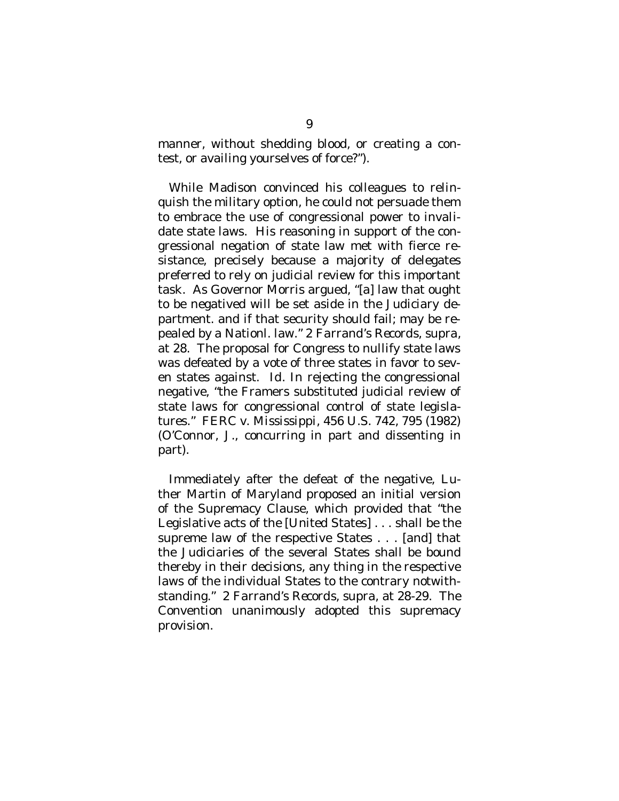manner, without shedding blood, or creating a contest, or availing yourselves of force?").

While Madison convinced his colleagues to relinquish the military option, he could not persuade them to embrace the use of congressional power to invalidate state laws. His reasoning in support of the congressional negation of state law met with fierce resistance, precisely because a majority of delegates preferred to rely on judicial review for this important task. As Governor Morris argued, "[a] law that ought to be negatived will be set aside in the Judiciary department. and if that security should fail; may be repealed by a Nationl. law." 2 *Farrand's Records*, *supra*, at 28. The proposal for Congress to nullify state laws was defeated by a vote of three states in favor to seven states against. *Id*. In rejecting the congressional negative, "the Framers substituted judicial review of state laws for congressional control of state legislatures." *FERC v. Mississippi*, 456 U.S. 742, 795 (1982) (O'Connor, J., concurring in part and dissenting in part).

Immediately after the defeat of the negative, Luther Martin of Maryland proposed an initial version of the Supremacy Clause, which provided that "the Legislative acts of the [United States] . . . shall be the supreme law of the respective States . . . [and] that the Judiciaries of the several States shall be bound thereby in their decisions, any thing in the respective laws of the individual States to the contrary notwithstanding." 2 *Farrand's Records*, *supra*, at 28-29. The Convention unanimously adopted this supremacy provision.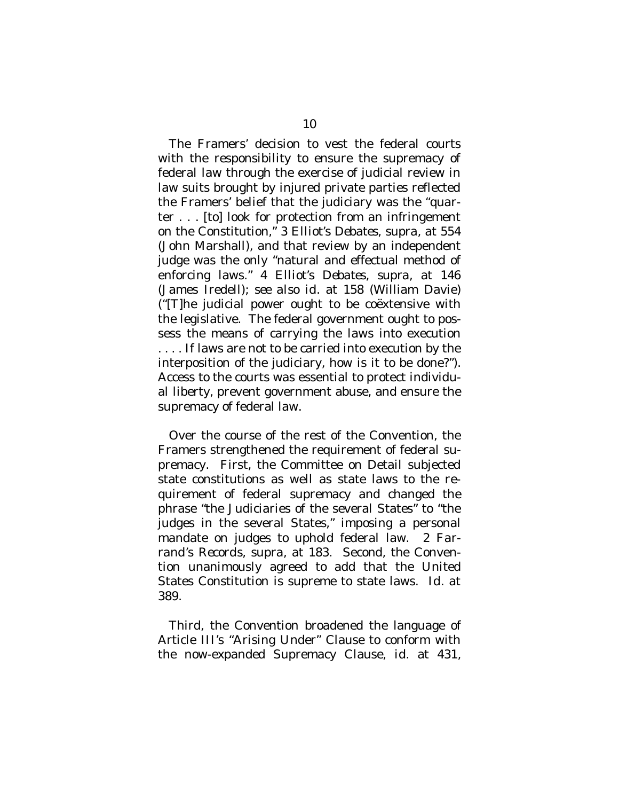The Framers' decision to vest the federal courts with the responsibility to ensure the supremacy of federal law through the exercise of judicial review in law suits brought by injured private parties reflected the Framers' belief that the judiciary was the "quarter . . . [to] look for protection from an infringement on the Constitution," 3 *Elliot's Debates*, *supra*, at 554 (John Marshall), and that review by an independent judge was the only "natural and effectual method of enforcing laws." 4 *Elliot's Debates*, *supra*, at 146 (James Iredell); *see also id.* at 158 (William Davie) ("[T]he judicial power ought to be coëxtensive with the legislative. The federal government ought to possess the means of carrying the laws into execution . . . . If laws are not to be carried into execution by the interposition of the judiciary, how is it to be done?"). Access to the courts was essential to protect individual liberty, prevent government abuse, and ensure the supremacy of federal law.

Over the course of the rest of the Convention, the Framers strengthened the requirement of federal supremacy. First, the Committee on Detail subjected state constitutions as well as state laws to the requirement of federal supremacy and changed the phrase "the Judiciaries of the several States" to "the judges in the several States," imposing a personal mandate on judges to uphold federal law. 2 *Farrand's Records*, *supra*, at 183. Second, the Convention unanimously agreed to add that the United States Constitution is supreme to state laws. *Id*. at 389.

Third, the Convention broadened the language of Article III's "Arising Under" Clause to conform with the now-expanded Supremacy Clause, *id.* at 431,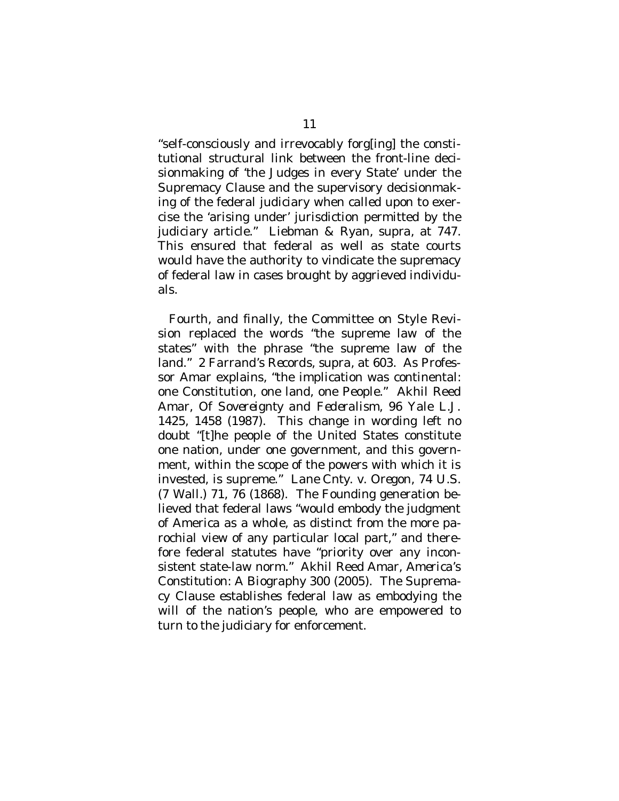"self-consciously and irrevocably forg[ing] the constitutional structural link between the front-line decisionmaking of 'the Judges in every State' under the Supremacy Clause and the supervisory decisionmaking of the federal judiciary when called upon to exercise the 'arising under' jurisdiction permitted by the judiciary article." Liebman & Ryan, *supra*, at 747. This ensured that federal as well as state courts would have the authority to vindicate the supremacy of federal law in cases brought by aggrieved individuals.

Fourth, and finally, the Committee on Style Revision replaced the words "the supreme law of the states" with the phrase "the supreme law of the land." 2 *Farrand's Records*, *supra*, at 603. As Professor Amar explains, "the implication was continental: one Constitution, one land, one People." Akhil Reed Amar, *Of Sovereignty and Federalism*, 96 Yale L.J. 1425, 1458 (1987). This change in wording left no doubt "[t]he people of the United States constitute one nation, under one government, and this government, within the scope of the powers with which it is invested, is supreme." *Lane Cnty. v. Oregon*, 74 U.S. (7 Wall.) 71, 76 (1868). The Founding generation believed that federal laws "would embody the judgment of America as a whole, as distinct from the more parochial view of any particular local part," and therefore federal statutes have "priority over any inconsistent state-law norm." Akhil Reed Amar, *America's Constitution: A Biography* 300 (2005). The Supremacy Clause establishes federal law as embodying the will of the nation's people, who are empowered to turn to the judiciary for enforcement.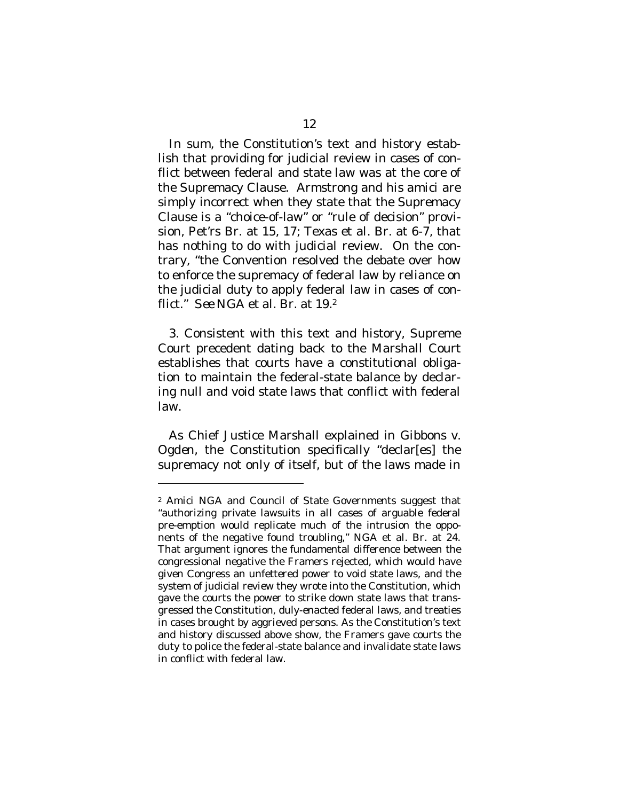In sum, the Constitution's text and history establish that providing for judicial review in cases of conflict between federal and state law was at the core of the Supremacy Clause. Armstrong and his *amici* are simply incorrect when they state that the Supremacy Clause is a "choice-of-law" or "rule of decision" provision, Pet'rs Br. at 15, 17; Texas et al. Br. at 6-7, that has nothing to do with judicial review. On the contrary, "the Convention resolved the debate over how to enforce the supremacy of federal law by reliance on the judicial duty to apply federal law in cases of conflict." *See* NGA et al. Br. at 19.<sup>2</sup>

3. Consistent with this text and history, Supreme Court precedent dating back to the Marshall Court establishes that courts have a constitutional obligation to maintain the federal-state balance by declaring null and void state laws that conflict with federal law.

As Chief Justice Marshall explained in *Gibbons v. Ogden*, the Constitution specifically "declar[es] the supremacy not only of itself, but of the laws made in

 $\overline{a}$ 

<sup>2</sup> *Amici* NGA and Council of State Governments suggest that "authorizing private lawsuits in *all* cases of arguable federal pre-emption would replicate much of the intrusion the opponents of the negative found troubling," NGA et al. Br. at 24. That argument ignores the fundamental difference between the congressional negative the Framers rejected, which would have given Congress an unfettered power to void state laws, and the system of judicial review they wrote into the Constitution, which gave the courts the power to strike down state laws that transgressed the Constitution, duly-enacted federal laws, and treaties in cases brought by aggrieved persons. As the Constitution's text and history discussed above show, the Framers gave courts the duty to police the federal-state balance and invalidate state laws in conflict with federal law.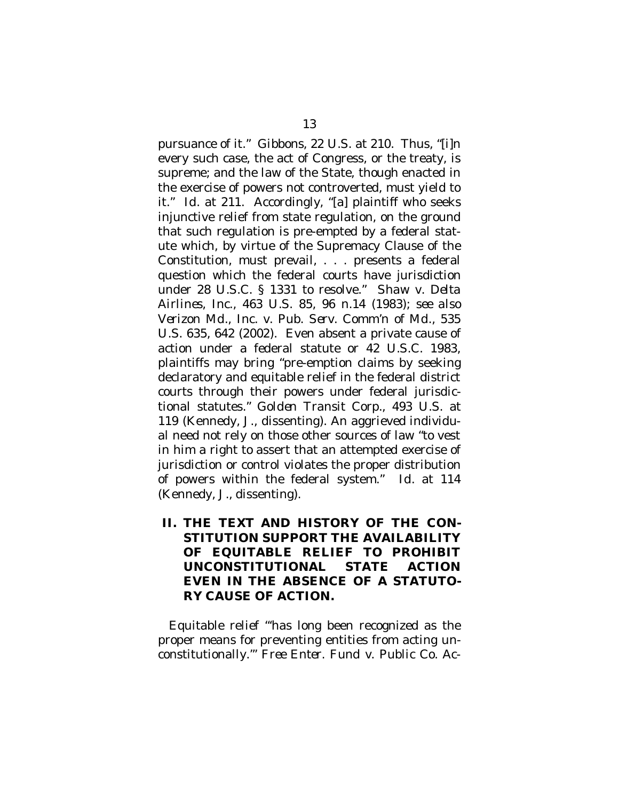pursuance of it." *Gibbons*, 22 U.S. at 210. Thus, "[i]n every such case, the act of Congress, or the treaty, is supreme; and the law of the State, though enacted in the exercise of powers not controverted, must yield to it." *Id.* at 211. Accordingly, "[a] plaintiff who seeks injunctive relief from state regulation, on the ground that such regulation is pre-empted by a federal statute which, by virtue of the Supremacy Clause of the Constitution, must prevail, . . . presents a federal question which the federal courts have jurisdiction under 28 U.S.C. § 1331 to resolve." *Shaw v. Delta Airlines, Inc.*, 463 U.S. 85, 96 n.14 (1983); *see also Verizon Md., Inc. v. Pub. Serv. Comm'n of Md.*, 535 U.S. 635, 642 (2002). Even absent a private cause of action under a federal statute or 42 U.S.C. 1983, plaintiffs may bring "pre-emption claims by seeking declaratory and equitable relief in the federal district courts through their powers under federal jurisdictional statutes." *Golden Transit Corp.*, 493 U.S. at 119 (Kennedy, J., dissenting). An aggrieved individual need not rely on those other sources of law "to vest in him a right to assert that an attempted exercise of jurisdiction or control violates the proper distribution of powers within the federal system." *Id.* at 114 (Kennedy, J., dissenting).

**II. THE TEXT AND HISTORY OF THE CON-STITUTION SUPPORT THE AVAILABILITY OF EQUITABLE RELIEF TO PROHIBIT UNCONSTITUTIONAL STATE ACTION EVEN IN THE ABSENCE OF A STATUTO-RY CAUSE OF ACTION.**

Equitable relief "'has long been recognized as the proper means for preventing entities from acting unconstitutionally.'" *Free Enter. Fund v. Public Co. Ac-*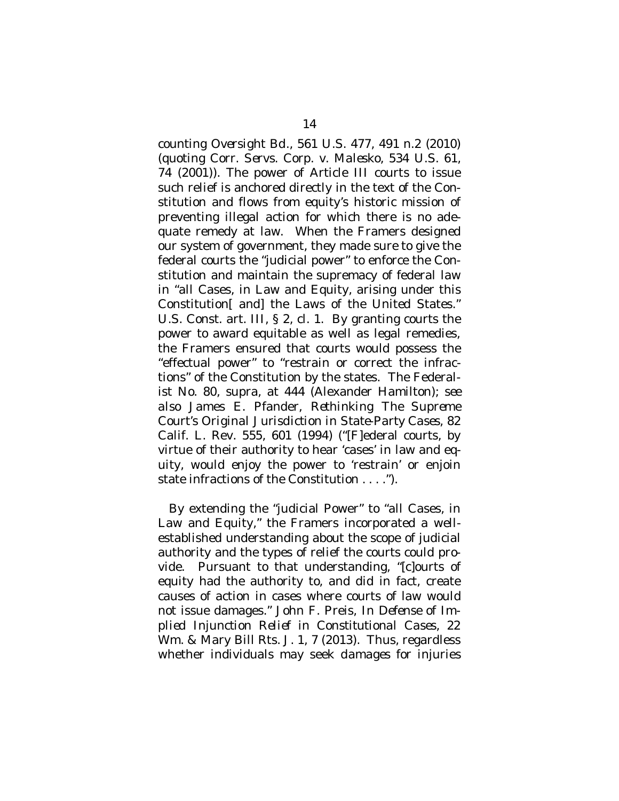*counting Oversight Bd.*, 561 U.S. 477, 491 n.2 (2010) (quoting *Corr. Servs. Corp. v. Malesko*, 534 U.S. 61, 74 (2001)). The power of Article III courts to issue such relief is anchored directly in the text of the Constitution and flows from equity's historic mission of preventing illegal action for which there is no adequate remedy at law. When the Framers designed our system of government, they made sure to give the federal courts the "judicial power" to enforce the Constitution and maintain the supremacy of federal law in "all Cases, in Law and Equity, arising under this Constitution[ and] the Laws of the United States." U.S. Const. art. III, § 2, cl. 1. By granting courts the power to award equitable as well as legal remedies, the Framers ensured that courts would possess the "effectual power" to "restrain or correct the infractions" of the Constitution by the states. The Federalist No. 80, *supra*, at 444 (Alexander Hamilton); *see also* James E. Pfander, *Rethinking The Supreme Court's Original Jurisdiction in State-Party Cases*, 82 Calif. L. Rev. 555, 601 (1994) ("[F]ederal courts, by virtue of their authority to hear 'cases' in law and equity, would enjoy the power to 'restrain' or enjoin state infractions of the Constitution . . . .").

By extending the "judicial Power" to "all Cases, in Law and Equity," the Framers incorporated a wellestablished understanding about the scope of judicial authority and the types of relief the courts could provide. Pursuant to that understanding, "[c]ourts of equity had the authority to, and did in fact, create causes of action in cases where courts of law would not issue damages." John F. Preis, *In Defense of Implied Injunction Relief in Constitutional Cases*, 22 Wm. & Mary Bill Rts. J. 1, 7 (2013). Thus, regardless whether individuals may seek *damages* for injuries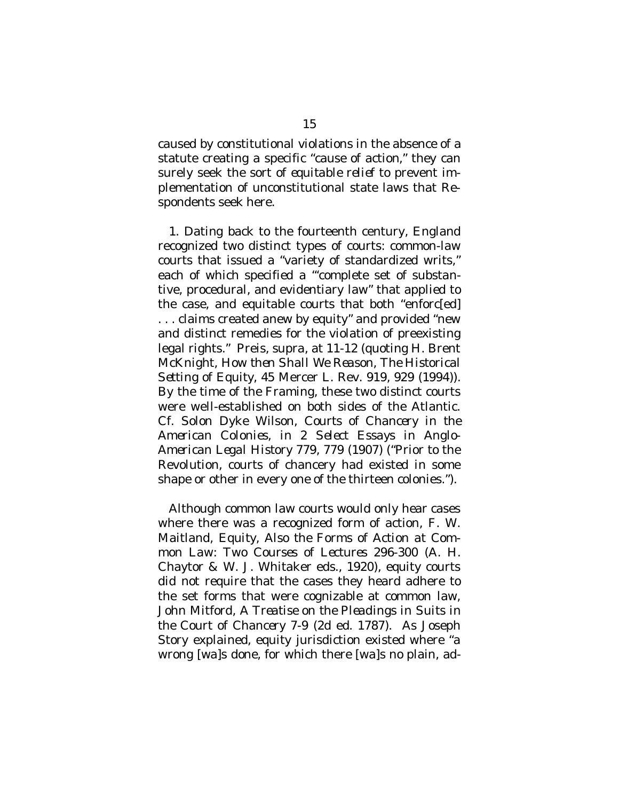caused by constitutional violations in the absence of a statute creating a specific "cause of action," they can surely seek the sort of *equitable relief* to prevent implementation of unconstitutional state laws that Respondents seek here.

1. Dating back to the fourteenth century, England recognized two distinct types of courts: common-law courts that issued a "variety of standardized writs," each of which specified a "'complete set of substantive, procedural, and evidentiary law" that applied to the case, and equitable courts that both "enforc[ed] . . . claims created anew by equity" and provided "new and distinct remedies for the violation of preexisting legal rights." Preis, *supra*, at 11-12 (quoting H. Brent McKnight, *How then Shall We Reason, The Historical Setting of Equity*, 45 Mercer L. Rev. 919, 929 (1994)). By the time of the Framing, these two distinct courts were well-established on both sides of the Atlantic. *Cf.* Solon Dyke Wilson, *Courts of Chancery in the American Colonies*, *in* 2 *Select Essays in Anglo-American Legal History* 779, 779 (1907) ("Prior to the Revolution, courts of chancery had existed in some shape or other in every one of the thirteen colonies.").

Although common law courts would only hear cases where there was a recognized form of action, F. W. Maitland, *Equity, Also the Forms of Action at Common Law: Two Courses of Lectures* 296-300 (A. H. Chaytor & W. J. Whitaker eds., 1920), equity courts did not require that the cases they heard adhere to the set forms that were cognizable at common law, John Mitford, *A Treatise on the Pleadings in Suits in the Court of Chancery* 7-9 (2d ed. 1787). As Joseph Story explained, equity jurisdiction existed where "a wrong [wa]s done, for which there [wa]s no plain, ad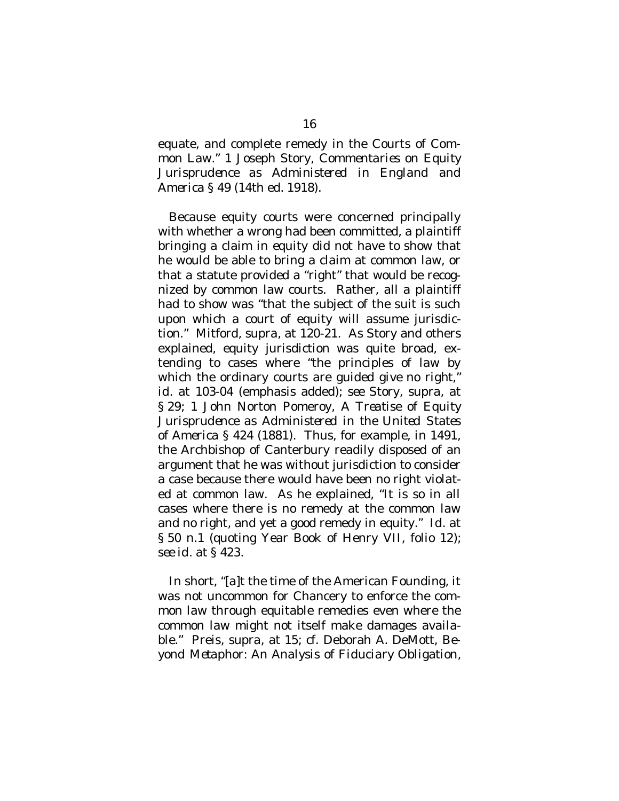equate, and complete remedy in the Courts of Common Law." 1 Joseph Story, *Commentaries on Equity Jurisprudence as Administered in England and America* § 49 (14th ed. 1918).

Because equity courts were concerned principally with whether a wrong had been committed, a plaintiff bringing a claim in equity did not have to show that he would be able to bring a claim at common law, or that a statute provided a "right" that would be recognized by common law courts. Rather, all a plaintiff had to show was "that the subject of the suit is such upon which a court of equity will assume jurisdiction." Mitford, *supra*, at 120-21. As Story and others explained, equity jurisdiction was quite broad, extending to cases where "the principles of law by which the ordinary courts are guided *give no right*," *id.* at 103-04 (emphasis added); *see* Story, *supra*, at § 29; 1 John Norton Pomeroy, *A Treatise of Equity Jurisprudence as Administered in the United States of America* § 424 (1881). Thus, for example, in 1491, the Archbishop of Canterbury readily disposed of an argument that he was without jurisdiction to consider a case because there would have been no right violated at common law. As he explained, "It is so in all cases where there is no remedy at the common law and no right, and yet a good remedy in equity." *Id.* at § 50 n.1 (quoting Year Book of Henry VII, folio 12); *see id.* at § 423.

In short, "[a]t the time of the American Founding, it was not uncommon for Chancery to enforce the common law through equitable remedies even where the common law might not itself make damages available." Preis, *supra*, at 15; *cf.* Deborah A. DeMott, *Beyond Metaphor: An Analysis of Fiduciary Obligation*,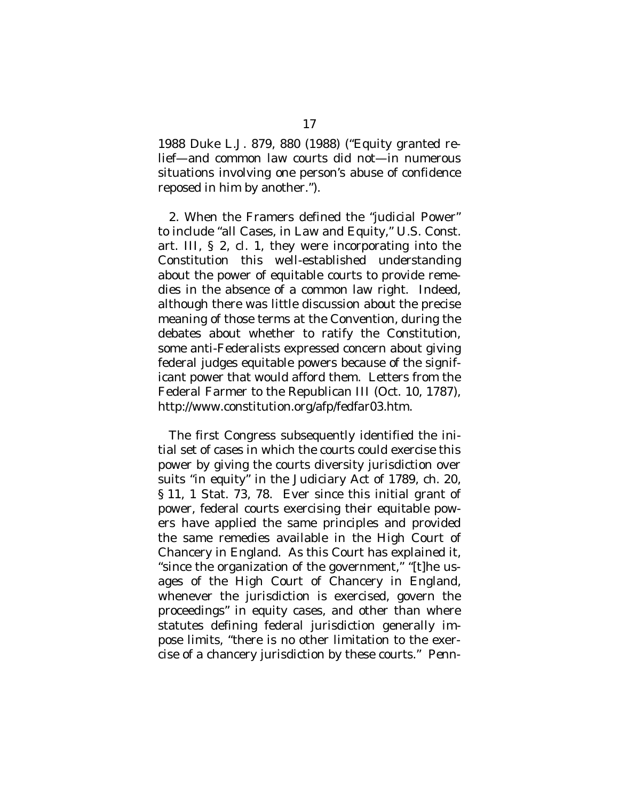1988 Duke L.J. 879, 880 (1988) ("Equity granted relief—and common law courts did not—in numerous situations involving one person's abuse of confidence reposed in him by another.").

2. When the Framers defined the "judicial Power" to include "all Cases, in Law and Equity," U.S. Const. art. III, § 2, cl. 1, they were incorporating into the Constitution this well-established understanding about the power of equitable courts to provide remedies in the absence of a common law right. Indeed, although there was little discussion about the precise meaning of those terms at the Convention, during the debates about whether to ratify the Constitution, some anti-Federalists expressed concern about giving federal judges equitable powers because of the significant power that would afford them. Letters from the Federal Farmer to the Republican III (Oct. 10, 1787), http://www.constitution.org/afp/fedfar03.htm.

The first Congress subsequently identified the initial set of cases in which the courts could exercise this power by giving the courts diversity jurisdiction over suits "in equity" in the Judiciary Act of 1789, ch. 20, § 11, 1 Stat. 73, 78. Ever since this initial grant of power, federal courts exercising their equitable powers have applied the same principles and provided the same remedies available in the High Court of Chancery in England. As this Court has explained it, "since the organization of the government," "[t]he usages of the High Court of Chancery in England, whenever the jurisdiction is exercised, govern the proceedings" in equity cases, and other than where statutes defining federal jurisdiction generally impose limits, "there is no other limitation to the exercise of a chancery jurisdiction by these courts." *Penn-*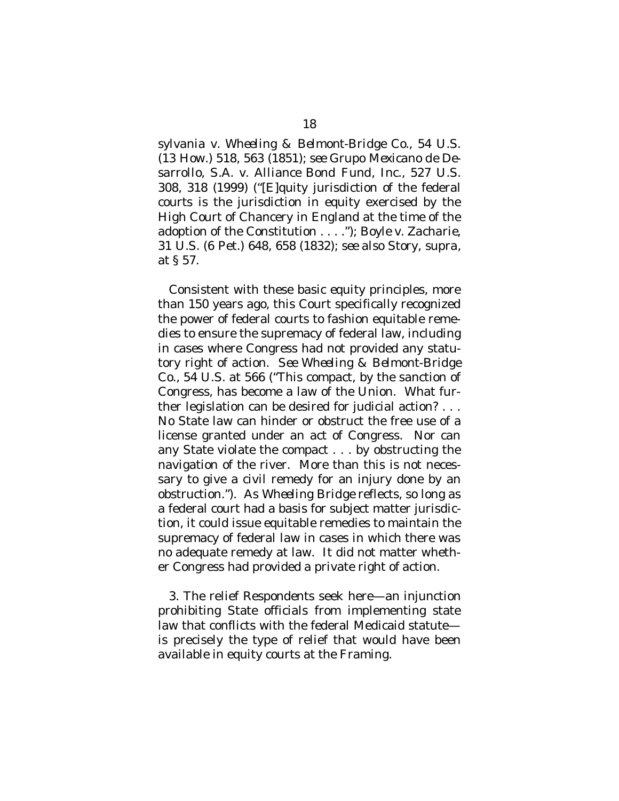*sylvania v. Wheeling & Belmont-Bridge Co.*, 54 U.S. (13 How.) 518, 563 (1851); *see Grupo Mexicano de Desarrollo, S.A. v. Alliance Bond Fund, Inc.*, 527 U.S. 308, 318 (1999) ("[E]quity jurisdiction of the federal courts is the jurisdiction in equity exercised by the High Court of Chancery in England at the time of the adoption of the Constitution . . . ."); *Boyle v. Zacharie*, 31 U.S. (6 Pet.) 648, 658 (1832); *see also* Story, *supra*, at § 57.

Consistent with these basic equity principles, more than 150 years ago, this Court specifically recognized the power of federal courts to fashion equitable remedies to ensure the supremacy of federal law, including in cases where Congress had not provided any statutory right of action. *See Wheeling & Belmont-Bridge Co.*, 54 U.S. at 566 ("This compact, by the sanction of Congress, has become a law of the Union. What further legislation can be desired for judicial action? . . . No State law can hinder or obstruct the free use of a license granted under an act of Congress. Nor can any State violate the compact . . . by obstructing the navigation of the river. More than this is not necessary to give a civil remedy for an injury done by an obstruction."). As *Wheeling Bridge* reflects, so long as a federal court had a basis for subject matter jurisdiction, it could issue equitable remedies to maintain the supremacy of federal law in cases in which there was no adequate remedy at law. It did not matter whether Congress had provided a private right of action.

3. The relief Respondents seek here—an injunction prohibiting State officials from implementing state law that conflicts with the federal Medicaid statute is precisely the type of relief that would have been available in equity courts at the Framing.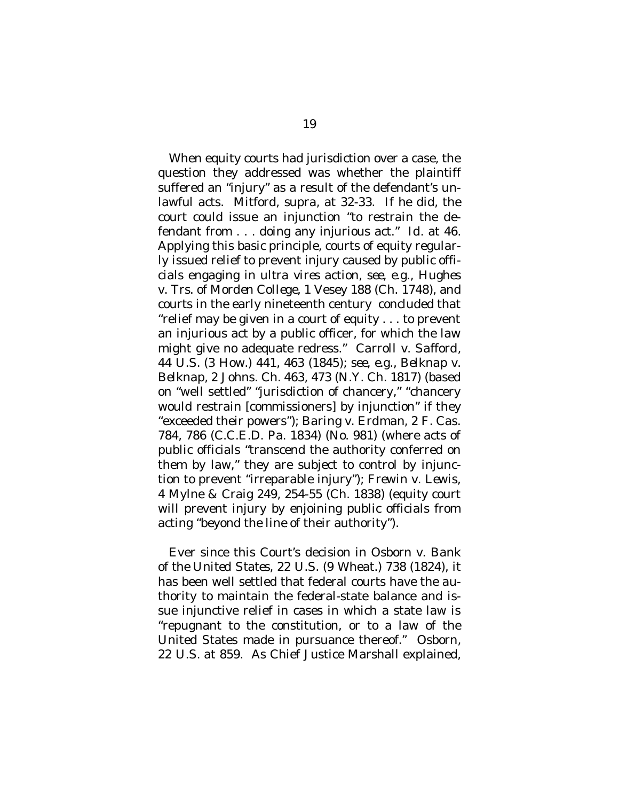When equity courts had jurisdiction over a case, the question they addressed was whether the plaintiff suffered an "injury" as a result of the defendant's unlawful acts. Mitford, *supra*, at 32-33. If he did, the court could issue an injunction "to restrain the defendant from . . . doing any injurious act." *Id.* at 46. Applying this basic principle, courts of equity regularly issued relief to prevent injury caused by public officials engaging in *ultra vires* action, *see, e.g.*, *Hughes v. Trs. of Morden College*, 1 Vesey 188 (Ch. 1748), and courts in the early nineteenth century concluded that "relief may be given in a court of equity . . . to prevent an injurious act by a public officer, for which the law might give no adequate redress." *Carroll v. Safford*, 44 U.S. (3 How.) 441, 463 (1845); *see, e.g.*, *Belknap v. Belknap*, 2 Johns. Ch. 463, 473 (N.Y. Ch. 1817) (based on "well settled" "jurisdiction of chancery," "chancery would restrain [commissioners] by injunction" if they "exceeded their powers"); *Baring v. Erdman*, 2 F. Cas. 784, 786 (C.C.E.D. Pa. 1834) (No. 981) (where acts of public officials "transcend the authority conferred on them by law," they are subject to control by injunction to prevent "irreparable injury"); *Frewin v. Lewis*, 4 Mylne & Craig 249, 254-55 (Ch. 1838) (equity court will prevent injury by enjoining public officials from acting "beyond the line of their authority").

Ever since this Court's decision in *Osborn v. Bank of the United States*, 22 U.S. (9 Wheat.) 738 (1824), it has been well settled that federal courts have the authority to maintain the federal-state balance and issue injunctive relief in cases in which a state law is "repugnant to the constitution, or to a law of the United States made in pursuance thereof." *Osborn*, 22 U.S. at 859. As Chief Justice Marshall explained,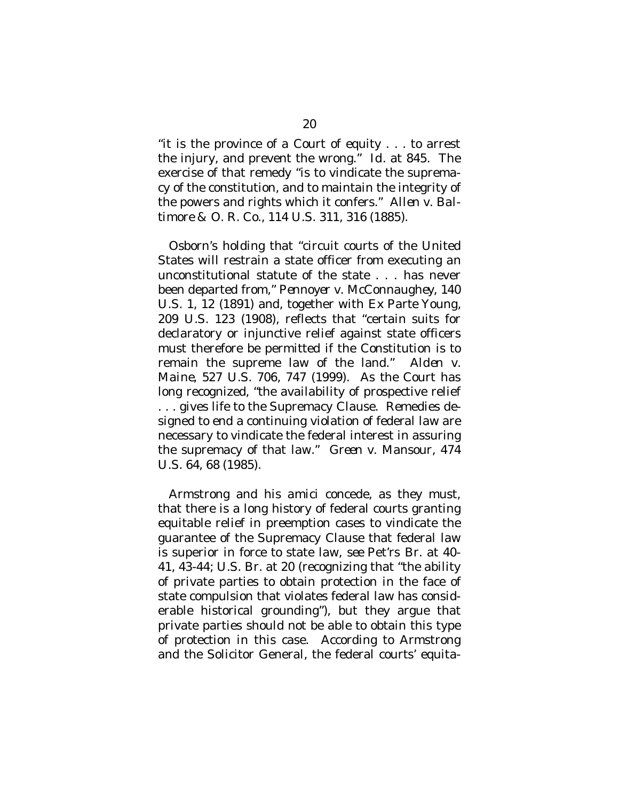"it is the province of a Court of equity . . . to arrest the injury, and prevent the wrong." *Id.* at 845. The exercise of that remedy "is to vindicate the supremacy of the constitution, and to maintain the integrity of the powers and rights which it confers." *Allen v. Baltimore & O. R. Co.*, 114 U.S. 311, 316 (1885).

*Osborn*'s holding that "circuit courts of the United States will restrain a state officer from executing an unconstitutional statute of the state . . . has never been departed from," *Pennoyer v. McConnaughey*, 140 U.S. 1, 12 (1891) and, together with *Ex Parte Young*, 209 U.S. 123 (1908), reflects that "certain suits for declaratory or injunctive relief against state officers must therefore be permitted if the Constitution is to remain the supreme law of the land." *Alden v. Maine*, 527 U.S. 706, 747 (1999). As the Court has long recognized, "the availability of prospective relief . . . gives life to the Supremacy Clause. Remedies designed to end a continuing violation of federal law are necessary to vindicate the federal interest in assuring the supremacy of that law." *Green v. Mansour*, 474 U.S. 64, 68 (1985).

Armstrong and his *amici* concede, as they must, that there is a long history of federal courts granting equitable relief in preemption cases to vindicate the guarantee of the Supremacy Clause that federal law is superior in force to state law, *see* Pet'rs Br. at 40- 41, 43-44; U.S. Br. at 20 (recognizing that "the ability of private parties to obtain protection in the face of state compulsion that violates federal law has considerable historical grounding"), but they argue that private parties should not be able to obtain this type of protection in this case. According to Armstrong and the Solicitor General, the federal courts' equita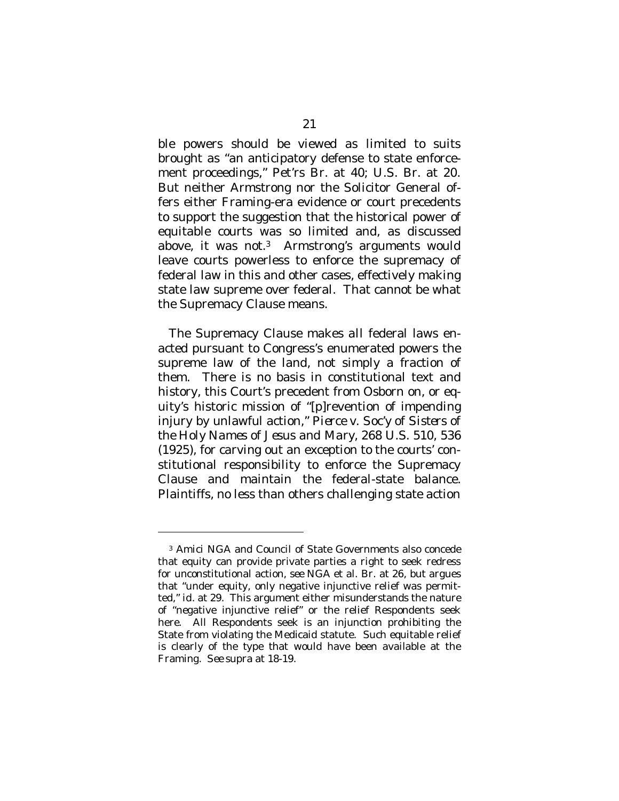ble powers should be viewed as limited to suits brought as "an anticipatory defense to state enforcement proceedings," Pet'rs Br. at 40; U.S. Br. at 20. But neither Armstrong nor the Solicitor General offers either Framing-era evidence or court precedents to support the suggestion that the historical power of equitable courts was so limited and, as discussed above, it was not.3 Armstrong's arguments would leave courts powerless to enforce the supremacy of federal law in this and other cases, effectively making state law supreme over federal. That cannot be what the Supremacy Clause means.

The Supremacy Clause makes *all* federal laws enacted pursuant to Congress's enumerated powers the supreme law of the land, not simply a fraction of them. There is no basis in constitutional text and history, this Court's precedent from *Osborn* on, or equity's historic mission of "[p]revention of impending injury by unlawful action," *Pierce v. Soc'y of Sisters of the Holy Names of Jesus and Mary*, 268 U.S. 510, 536 (1925), for carving out an exception to the courts' constitutional responsibility to enforce the Supremacy Clause and maintain the federal-state balance. Plaintiffs, no less than others challenging state action

 $\overline{a}$ 

<sup>3</sup> *Amici* NGA and Council of State Governments also concede that equity can provide private parties a right to seek redress for unconstitutional action, *see* NGA et al. Br. at 26, but argues that "under equity, only negative injunctive relief was permitted," *id.* at 29. This argument either misunderstands the nature of "negative injunctive relief" or the relief Respondents seek here. All Respondents seek is an injunction *prohibiting* the State from violating the Medicaid statute. Such equitable relief is clearly of the type that would have been available at the Framing. *See supra* at 18-19.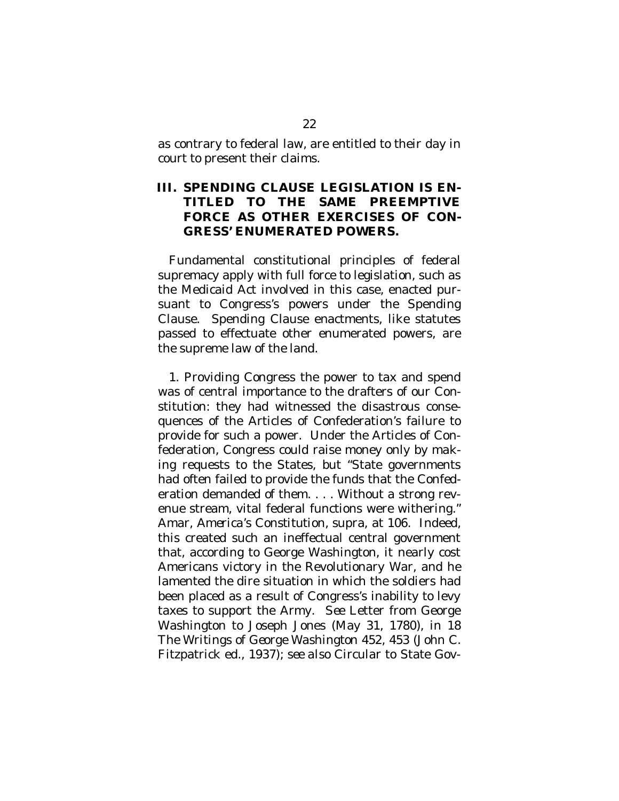as contrary to federal law, are entitled to their day in court to present their claims.

#### **III. SPENDING CLAUSE LEGISLATION IS EN-TITLED TO THE SAME PREEMPTIVE FORCE AS OTHER EXERCISES OF CON-GRESS' ENUMERATED POWERS.**

Fundamental constitutional principles of federal supremacy apply with full force to legislation, such as the Medicaid Act involved in this case, enacted pursuant to Congress's powers under the Spending Clause. Spending Clause enactments, like statutes passed to effectuate other enumerated powers, are the supreme law of the land.

1. Providing Congress the power to tax and spend was of central importance to the drafters of our Constitution: they had witnessed the disastrous consequences of the Articles of Confederation's failure to provide for such a power. Under the Articles of Confederation, Congress could raise money only by making requests to the States, but "State governments had often failed to provide the funds that the Confederation demanded of them. . . . Without a strong revenue stream, vital federal functions were withering." Amar, *America's Constitution*, *supra*, at 106. Indeed, this created such an ineffectual central government that, according to George Washington, it nearly cost Americans victory in the Revolutionary War, and he lamented the dire situation in which the soldiers had been placed as a result of Congress's inability to levy taxes to support the Army. *See* Letter from George Washington to Joseph Jones (May 31, 1780), *in* 18 *The Writings of George Washington* 452, 453 (John C. Fitzpatrick ed., 1937); *see also* Circular to State Gov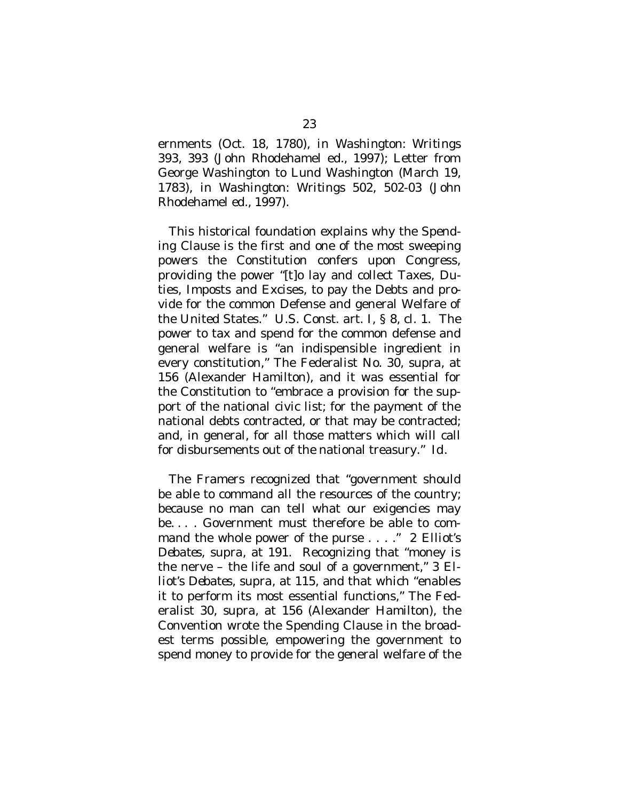ernments (Oct. 18, 1780), *in Washington: Writings* 393, 393 (John Rhodehamel ed., 1997); Letter from George Washington to Lund Washington (March 19, 1783), *in Washington: Writings* 502, 502-03 (John Rhodehamel ed., 1997).

This historical foundation explains why the Spending Clause is the first and one of the most sweeping powers the Constitution confers upon Congress, providing the power "[t]o lay and collect Taxes, Duties, Imposts and Excises, to pay the Debts and provide for the common Defense and general Welfare of the United States." U.S. Const. art. I, § 8, cl. 1. The power to tax and spend for the common defense and general welfare is "an indispensible ingredient in every constitution," The Federalist No. 30, *supra*, at 156 (Alexander Hamilton), and it was essential for the Constitution to "embrace a provision for the support of the national civic list; for the payment of the national debts contracted, or that may be contracted; and, in general, for all those matters which will call for disbursements out of the national treasury." *Id.*

The Framers recognized that "government should be able to command all the resources of the country; because no man can tell what our exigencies may be. . . . Government must therefore be able to command the whole power of the purse . . . ." 2 *Elliot's Debates*, *supra*, at 191. Recognizing that "money is the nerve – the life and soul of a government," 3 *Elliot's Debates*, *supra*, at 115, and that which "enables it to perform its most essential functions," The Federalist 30, *supra*, at 156 (Alexander Hamilton), the Convention wrote the Spending Clause in the broadest terms possible, empowering the government to spend money to provide for the general welfare of the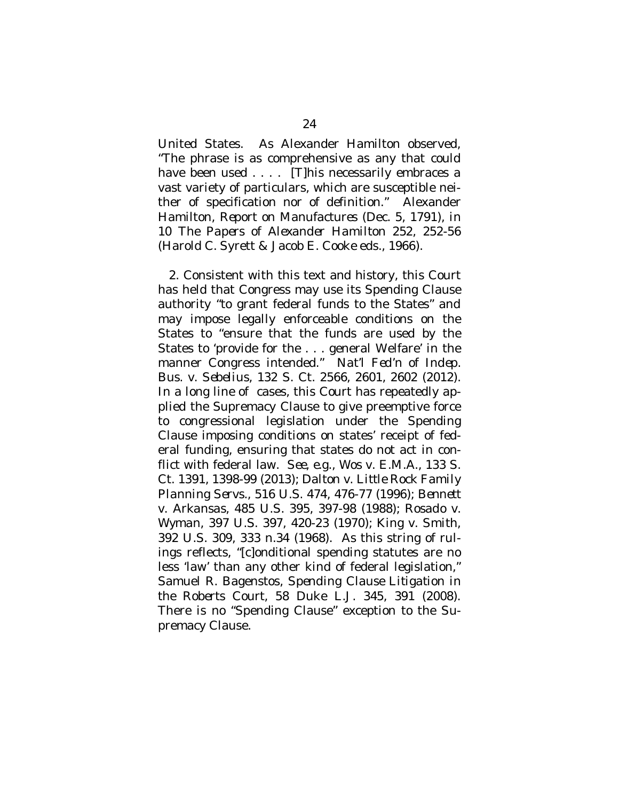United States. As Alexander Hamilton observed, "The phrase is as comprehensive as any that could have been used . . . . [T]his necessarily embraces a vast variety of particulars, which are susceptible neither of specification nor of definition." Alexander Hamilton, *Report on Manufactures* (Dec. 5, 1791), *in* 10 *The Papers of Alexander Hamilton* 252, 252-56 (Harold C. Syrett & Jacob E. Cooke eds., 1966).

2. Consistent with this text and history, this Court has held that Congress may use its Spending Clause authority "to grant federal funds to the States" and may impose legally enforceable conditions on the States to "ensure that the funds are used by the States to 'provide for the . . . general Welfare' in the manner Congress intended." *Nat'l Fed'n of Indep. Bus. v. Sebelius*, 132 S. Ct. 2566, 2601, 2602 (2012). In a long line of cases, this Court has repeatedly applied the Supremacy Clause to give preemptive force to congressional legislation under the Spending Clause imposing conditions on states' receipt of federal funding, ensuring that states do not act in conflict with federal law. *See, e.g*., *Wos v. E.M.A.*, 133 S. Ct. 1391, 1398-99 (2013); *Dalton v. Little Rock Family Planning Servs.*, 516 U.S. 474, 476-77 (1996); *Bennett v. Arkansas*, 485 U.S. 395, 397-98 (1988); *Rosado v. Wyman*, 397 U.S. 397, 420-23 (1970); *King v. Smith*, 392 U.S. 309, 333 n.34 (1968). As this string of rulings reflects, "[c]onditional spending statutes are no less 'law' than any other kind of federal legislation," Samuel R. Bagenstos, *Spending Clause Litigation in the Roberts Court*, 58 Duke L.J. 345, 391 (2008). There is no "Spending Clause" exception to the Supremacy Clause.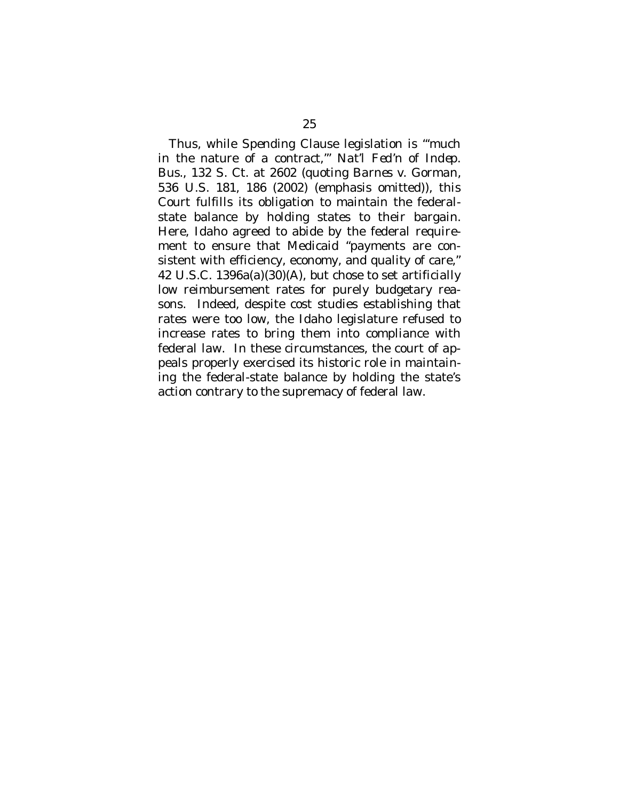Thus, while Spending Clause legislation is "'much in the nature of a contract,'" *Nat'l Fed'n of Indep. Bus.*, 132 S. Ct. at 2602 (quoting *Barnes v. Gorman*, 536 U.S. 181, 186 (2002) (emphasis omitted)), this Court fulfills its obligation to maintain the federalstate balance by holding states to their bargain. Here, Idaho agreed to abide by the federal requirement to ensure that Medicaid "payments are consistent with efficiency, economy, and quality of care," 42 U.S.C. 1396a(a)(30)(A), but chose to set artificially low reimbursement rates for purely budgetary reasons. Indeed, despite cost studies establishing that rates were too low, the Idaho legislature refused to increase rates to bring them into compliance with federal law. In these circumstances, the court of appeals properly exercised its historic role in maintaining the federal-state balance by holding the state's action contrary to the supremacy of federal law.